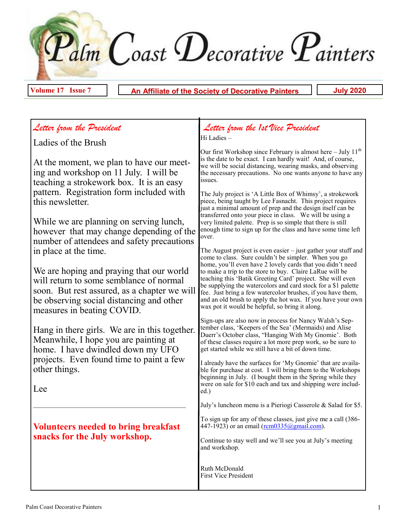Palm Coast Decorative Painters

**Volume 17 Issue 7 An Affiliate of the Society of Decorative Painters July 2020**

## *Letter from the President*

Ladies of the Brush

At the moment, we plan to have our meeting and workshop on 11 July. I will be teaching a strokework box. It is an easy pattern. Registration form included with this newsletter.

While we are planning on serving lunch, however that may change depending of the number of attendees and safety precautions in place at the time.

We are hoping and praying that our world will return to some semblance of normal soon. But rest assured, as a chapter we will be observing social distancing and other measures in beating COVID.

Hang in there girls. We are in this together. Meanwhile, I hope you are painting at home. I have dwindled down my UFO projects. Even found time to paint a few other things.

Lee

### **Volunteers needed to bring breakfast snacks for the July workshop.**

 $\mathcal{L}_\text{max}$  and the contract of the contract of the contract of the contract of the contract of the contract of the contract of the contract of the contract of the contract of the contract of the contract of the contrac

#### <sup>L</sup>*Letter from the 1st Vice President* Hi Ladies –

Our first Workshop since February is almost here  $-$  July 11<sup>th</sup> is the date to be exact. I can hardly wait! And, of course, we will be social distancing, wearing masks, and observing the necessary precautions. No one wants anyone to have any issues.

The July project is 'A Little Box of Whimsy', a strokework piece, being taught by Lee Fasnacht. This project requires just a minimal amount of prep and the design itself can be transferred onto your piece in class. We will be using a very limited palette. Prep is so simple that there is still enough time to sign up for the class and have some time left over.

The August project is even easier – just gather your stuff and come to class. Sure couldn't be simpler. When you go home, you'll even have 2 lovely cards that you didn't need to make a trip to the store to buy. Claire LaRue will be teaching this 'Batik Greeting Card' project. She will even be supplying the watercolors and card stock for a \$1 palette fee. Just bring a few watercolor brushes, if you have them, and an old brush to apply the hot wax. If you have your own wax pot it would be helpful, so bring it along.

Sign-ups are also now in process for Nancy Walsh's September class, 'Keepers of the Sea' (Mermaids) and Alise Duerr's October class, "Hanging With My Gnomie'. Both of these classes require a lot more prep work, so be sure to get started while we still have a bit of down time.

I already have the surfaces for 'My Gnomie' that are available for purchase at cost. I will bring them to the Workshops beginning in July. (I bought them in the Spring while they were on sale for \$10 each and tax and shipping were included.)

July's luncheon menu is a Pieriogi Casserole & Salad for \$5.

To sign up for any of these classes, just give me a call (386 447-1923) or an email ([rcm0335@gmail.com\)](mailto:rcm0335@gmail.com).

Continue to stay well and we'll see you at July's meeting and workshop.

Ruth McDonald First Vice President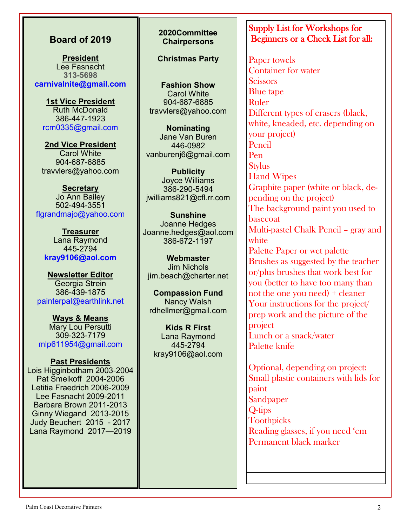#### **Board of 2019**

**President** Lee Fasnacht **313-5698 carnivalnite@gmail.com**

**1st Vice President** Ruth McDonald 386-447-1923 rcm0335@gmail.com

**2nd Vice President** Carol White 904-687-6885 travvlers@yahoo.com

**Secretary** Jo Ann Bailey 502-494-3551 flgrandmajo@yahoo.com

**Treasurer** Lana Raymond 445-2794 **kray9106@aol.com**

**Newsletter Editor** Georgia Strein 386-439-1875 painterpal@earthlink.net

**Ways & Means** Mary Lou Persutti 309-323-7179 mlp611954@gmail.com

**Past Presidents** Lois Higginbotham 2003-2004 Pat Smelkoff 2004-2006 Letitia Fraedrich 2006-2009 Lee Fasnacht 2009-2011 Barbara Brown 2011-2013 Ginny Wiegand 2013-2015 Judy Beuchert 2015 - 2017 Lana Raymond 2017—2019

#### **2020Committee Chairpersons**

**Christmas Party**

**Fashion Show** Carol White 904-687-6885 travvlers@yahoo.com

**Nominating** Jane Van Buren 446-0982 vanburenj6@gmail.com

**Publicity** Joyce Williams 386-290-5494 jwilliams821@cfl.rr.com

**Sunshine**  Joanne Hedges Joanne.hedges@aol.com 386-672-1197

**Webmaster**  Jim Nichols jim.beach@charter.net

**Compassion Fund**  Nancy Walsh rdhellmer@gmail.com

**Kids R First**  Lana Raymond 445-2794 kray9106@aol.com

### Supply List for Workshops for Beginners or a Check List for all:

Paper towels Container for water **Scissors** Blue tape Ruler Different types of erasers (black, white, kneaded, etc. depending on your project) Pencil Pen **Stylus** Hand Wipes Graphite paper (white or black, depending on the project) The background paint you used to basecoat Multi-pastel Chalk Pencil – gray and white Palette Paper or wet palette Brushes as suggested by the teacher or/plus brushes that work best for you (better to have too many than not the one you need) + cleaner Your instructions for the project/ prep work and the picture of the project Lunch or a snack/water Palette knife

Optional, depending on project: Small plastic containers with lids for paint **Sandpaper** Q-tips **Toothpicks** Reading glasses, if you need 'em Permanent black marker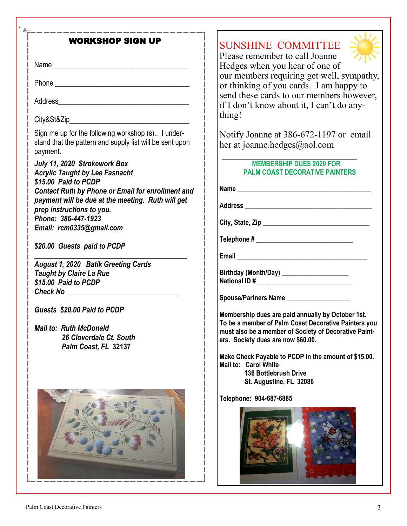| <b>WORKSHOP SIGN UP</b>                                                                                                    | SUNSHINE COMMITTEE<br>Please remember to call Joanne                                                          |  |  |
|----------------------------------------------------------------------------------------------------------------------------|---------------------------------------------------------------------------------------------------------------|--|--|
|                                                                                                                            | Hedges when you hear of one of<br>our members requiring get well, sympathy,                                   |  |  |
|                                                                                                                            | or thinking of you cards. I am happy to<br>send these cards to our members however,                           |  |  |
|                                                                                                                            | if I don't know about it, I can't do any-<br>thing!                                                           |  |  |
| City&St&Zip                                                                                                                |                                                                                                               |  |  |
| Sign me up for the following workshop (s) I under-<br>stand that the pattern and supply list will be sent upon<br>payment. | Notify Joanne at 386-672-1197 or email<br>her at joanne.hedges@aol.com                                        |  |  |
| July 11, 2020 Strokework Box<br><b>Acrylic Taught by Lee Fasnacht</b><br>\$15.00 Paid to PCDP                              | <b>MEMBERSHIP DUES 2020 FOR</b><br><b>PALM COAST DECORATIVE PAINTERS</b>                                      |  |  |
| <b>Contact Ruth by Phone or Email for enrollment and</b>                                                                   |                                                                                                               |  |  |
| payment will be due at the meeting. Ruth will get<br>prep instructions to you.<br>Phone: 386-447-1923                      |                                                                                                               |  |  |
| Email: rcm0335@gmail.com                                                                                                   |                                                                                                               |  |  |
| \$20.00 Guests paid to PCDP                                                                                                |                                                                                                               |  |  |
|                                                                                                                            |                                                                                                               |  |  |
| <b>August 1, 2020 Batik Greeting Cards</b>                                                                                 | Birthday (Month/Day) ____________________                                                                     |  |  |
| <b>Taught by Claire La Rue</b><br>\$15.00 Paid to PCDP                                                                     |                                                                                                               |  |  |
| Check No ________________________________                                                                                  |                                                                                                               |  |  |
| Guests \$20.00 Paid to PCDP                                                                                                | Spouse/Partners Name ____________________                                                                     |  |  |
|                                                                                                                            | Membership dues are paid annually by October 1st.                                                             |  |  |
| <b>Mail to: Ruth McDonald</b>                                                                                              | To be a member of Palm Coast Decorative Painters you<br>must also be a member of Society of Decorative Paint- |  |  |
| 26 Cloverdale Ct. South                                                                                                    | ers. Society dues are now \$60.00.                                                                            |  |  |
| Palm Coast, FL 32137                                                                                                       | Make Check Payable to PCDP in the amount of \$15.00.                                                          |  |  |
|                                                                                                                            | Mail to: Carol White                                                                                          |  |  |
|                                                                                                                            | <b>136 Bottlebrush Drive</b><br>St. Augustine, FL 32086                                                       |  |  |
|                                                                                                                            |                                                                                                               |  |  |
|                                                                                                                            | Telephone: 904-687-6885                                                                                       |  |  |
|                                                                                                                            |                                                                                                               |  |  |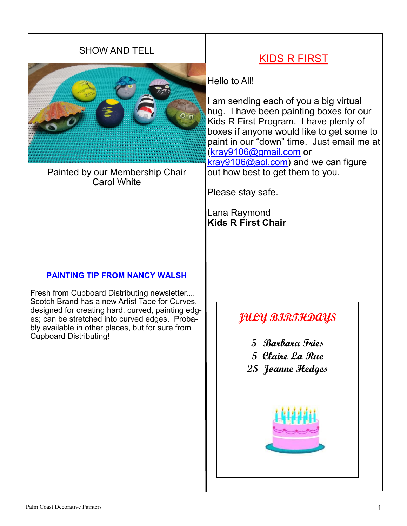### SHOW AND TELL



Painted by our Membership Chair Carol White

#### **PAINTING TIP FROM NANCY WALSH**

Fresh from Cupboard Distributing newsletter.... Scotch Brand has a new Artist Tape for Curves, designed for creating hard, curved, painting edges; can be stretched into curved edges. Probably available in other places, but for sure from Cupboard Distributing!

# KIDS R FIRST

Hello to All!

I am sending each of you a big virtual hug. I have been painting boxes for our Kids R First Program. I have plenty of boxes if anyone would like to get some to paint in our "down" time. Just email me at ([kray9106@gmail.com](mailto:kray9106@gmail.com) or [kray9106@aol.com\)](mailto:kray9106@aol.com) and we can figure out how best to get them to you.

Please stay safe.

Lana Raymond **Kids R First Chair**

## **JULY BIRTHDAYS**

- **5 Barbara Fries**
- **5 Claire La Rue**
- **25 Joanne Hedges**

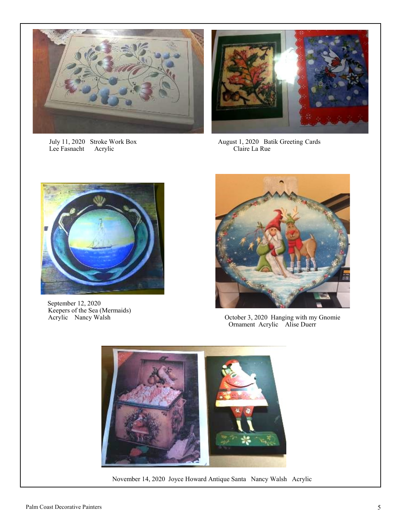

July 11, 2020 Stroke Work Box<br>Lee Fasnacht Acrylic



August 1, 2020 Batik Greeting Cards<br>Claire La Rue



 September 12, 2020 Keepers of the Sea (Mermaids)



Acrylic Nancy Walsh October 3, 2020 Hanging with my Gnomie Ornament Acrylic Alise Duerr



November 14, 2020 Joyce Howard Antique Santa Nancy Walsh Acrylic